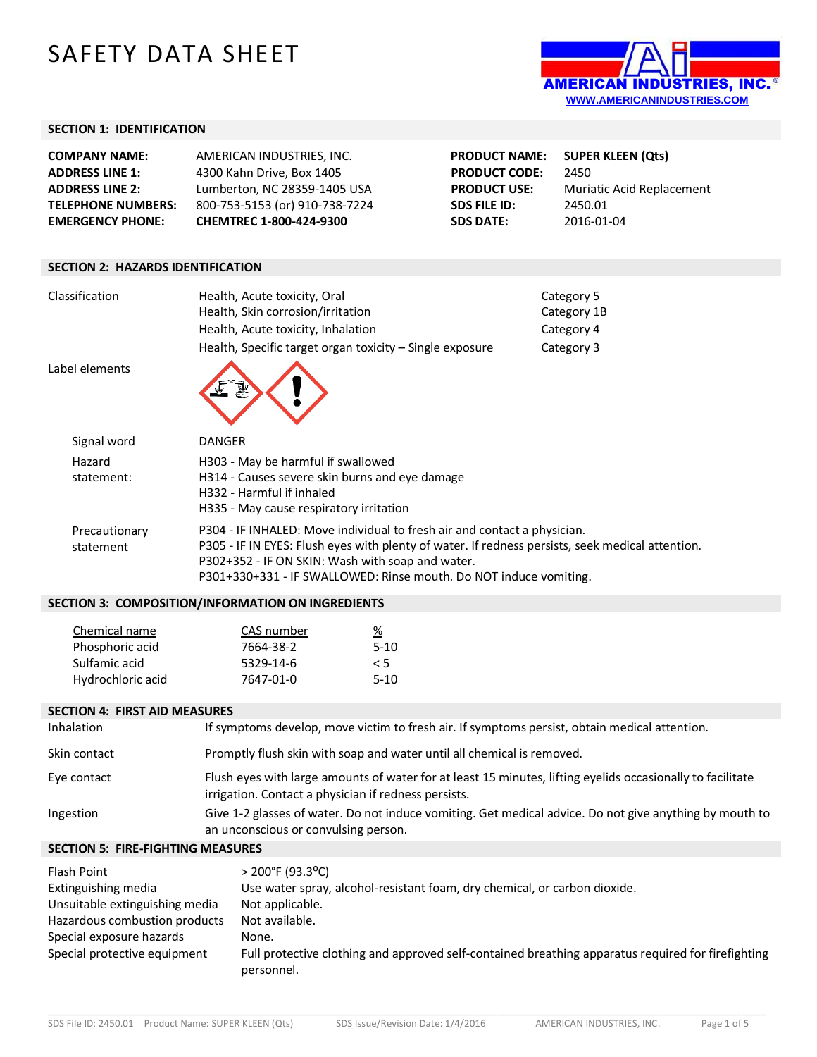# SAFETY DATA SHEET



# **SECTION 1: IDENTIFICATION**

| <b>COMPANY NAME:</b>      | AMERICAN INDUSTRIES, INC.      | <b>PRODUCT NAME:</b> | <b>SUPER KLEEN (Qts)</b>  |
|---------------------------|--------------------------------|----------------------|---------------------------|
| <b>ADDRESS LINE 1:</b>    | 4300 Kahn Drive, Box 1405      | <b>PRODUCT CODE:</b> | 2450                      |
| <b>ADDRESS LINE 2:</b>    | Lumberton, NC 28359-1405 USA   | <b>PRODUCT USE:</b>  | Muriatic Acid Replacement |
| <b>TELEPHONE NUMBERS:</b> | 800-753-5153 (or) 910-738-7224 | SDS FILE ID:         | 2450.01                   |
| <b>EMERGENCY PHONE:</b>   | <b>CHEMTREC 1-800-424-9300</b> | <b>SDS DATE:</b>     | 2016-01-04                |

# **SECTION 2: HAZARDS IDENTIFICATION**

| Classification             | Health, Acute toxicity, Oral<br>Health, Skin corrosion/irritation                                                                                                                                                                                                                                     | Category 5                |
|----------------------------|-------------------------------------------------------------------------------------------------------------------------------------------------------------------------------------------------------------------------------------------------------------------------------------------------------|---------------------------|
|                            | Health, Acute toxicity, Inhalation                                                                                                                                                                                                                                                                    | Category 1B<br>Category 4 |
|                            | Health, Specific target organ toxicity - Single exposure                                                                                                                                                                                                                                              | Category 3                |
| Label elements             |                                                                                                                                                                                                                                                                                                       |                           |
| Signal word                | <b>DANGER</b>                                                                                                                                                                                                                                                                                         |                           |
| Hazard<br>statement:       | H303 - May be harmful if swallowed<br>H314 - Causes severe skin burns and eye damage<br>H332 - Harmful if inhaled<br>H335 - May cause respiratory irritation                                                                                                                                          |                           |
| Precautionary<br>statement | P304 - IF INHALED: Move individual to fresh air and contact a physician.<br>P305 - IF IN EYES: Flush eyes with plenty of water. If redness persists, seek medical attention.<br>P302+352 - IF ON SKIN: Wash with soap and water.<br>P301+330+331 - IF SWALLOWED: Rinse mouth. Do NOT induce vomiting. |                           |
|                            |                                                                                                                                                                                                                                                                                                       |                           |

## **SECTION 3: COMPOSITION/INFORMATION ON INGREDIENTS**

| Chemical name     | CAS number | %        |
|-------------------|------------|----------|
| Phosphoric acid   | 7664-38-2  | $5 - 10$ |
| Sulfamic acid     | 5329-14-6  | $\leq 5$ |
| Hydrochloric acid | 7647-01-0  | $5-10$   |

### **SECTION 4: FIRST AID MEASURES**

| <b>Inhalation</b>                        | If symptoms develop, move victim to fresh air. If symptoms persist, obtain medical attention.                                                                      |  |
|------------------------------------------|--------------------------------------------------------------------------------------------------------------------------------------------------------------------|--|
| Skin contact                             | Promptly flush skin with soap and water until all chemical is removed.                                                                                             |  |
| Eye contact                              | Flush eyes with large amounts of water for at least 15 minutes, lifting eyelids occasionally to facilitate<br>irrigation. Contact a physician if redness persists. |  |
| Ingestion                                | Give 1-2 glasses of water. Do not induce vomiting. Get medical advice. Do not give anything by mouth to<br>an unconscious or convulsing person.                    |  |
| <b>SECTION 5: FIRE-FIGHTING MEASURES</b> |                                                                                                                                                                    |  |
| <b>Flash Point</b>                       | $> 200^{\circ}$ F (93 3 <sup>o</sup> C)                                                                                                                            |  |

| Flash Point                    | $>$ 200°F (93.3°C)                                                                                               |
|--------------------------------|------------------------------------------------------------------------------------------------------------------|
| Extinguishing media            | Use water spray, alcohol-resistant foam, dry chemical, or carbon dioxide.                                        |
| Unsuitable extinguishing media | Not applicable.                                                                                                  |
| Hazardous combustion products  | Not available.                                                                                                   |
| Special exposure hazards       | None.                                                                                                            |
| Special protective equipment   | Full protective clothing and approved self-contained breathing apparatus required for firefighting<br>personnel. |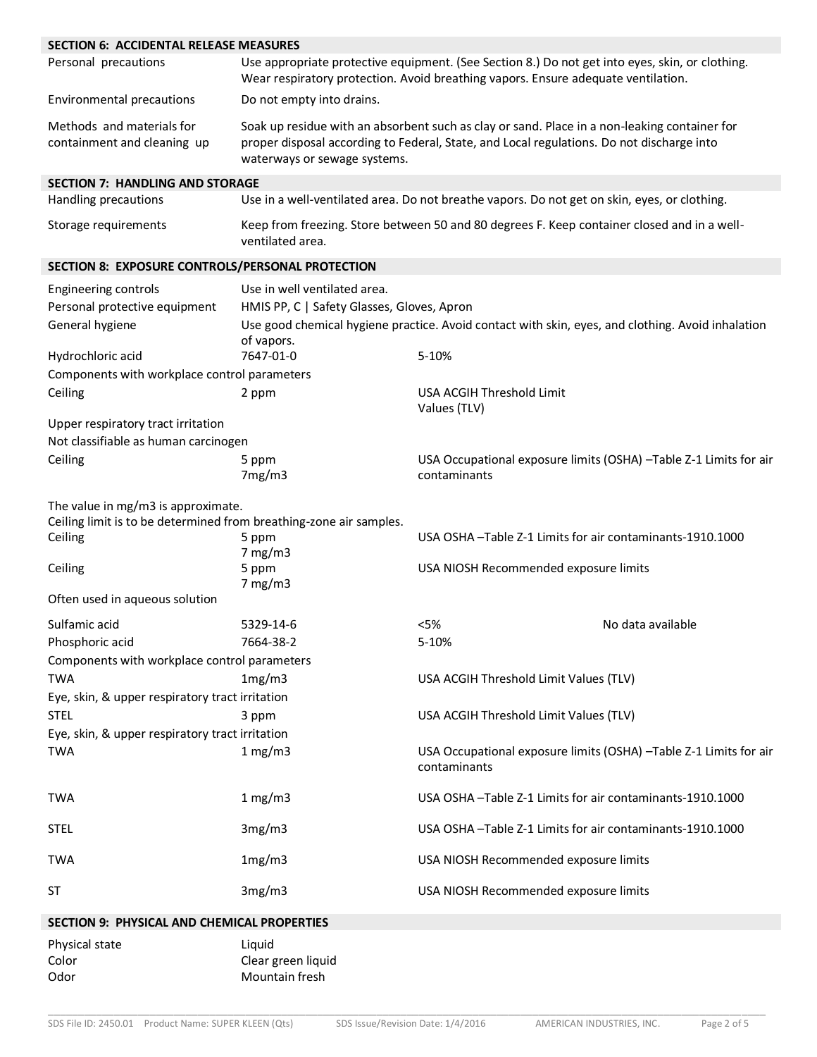| <b>SECTION 6: ACCIDENTAL RELEASE MEASURES</b>                                                            |                                                                                                                                                                                                                           |                                                                                              |  |
|----------------------------------------------------------------------------------------------------------|---------------------------------------------------------------------------------------------------------------------------------------------------------------------------------------------------------------------------|----------------------------------------------------------------------------------------------|--|
| Personal precautions                                                                                     | Use appropriate protective equipment. (See Section 8.) Do not get into eyes, skin, or clothing.<br>Wear respiratory protection. Avoid breathing vapors. Ensure adequate ventilation.                                      |                                                                                              |  |
| Environmental precautions                                                                                | Do not empty into drains.                                                                                                                                                                                                 |                                                                                              |  |
| Methods and materials for<br>containment and cleaning up                                                 | Soak up residue with an absorbent such as clay or sand. Place in a non-leaking container for<br>proper disposal according to Federal, State, and Local regulations. Do not discharge into<br>waterways or sewage systems. |                                                                                              |  |
| <b>SECTION 7: HANDLING AND STORAGE</b>                                                                   |                                                                                                                                                                                                                           |                                                                                              |  |
| Handling precautions                                                                                     |                                                                                                                                                                                                                           | Use in a well-ventilated area. Do not breathe vapors. Do not get on skin, eyes, or clothing. |  |
| Storage requirements                                                                                     | Keep from freezing. Store between 50 and 80 degrees F. Keep container closed and in a well-<br>ventilated area.                                                                                                           |                                                                                              |  |
| SECTION 8: EXPOSURE CONTROLS/PERSONAL PROTECTION                                                         |                                                                                                                                                                                                                           |                                                                                              |  |
| Engineering controls<br>Personal protective equipment<br>General hygiene                                 | Use in well ventilated area.<br>HMIS PP, C   Safety Glasses, Gloves, Apron<br>Use good chemical hygiene practice. Avoid contact with skin, eyes, and clothing. Avoid inhalation<br>of vapors.                             |                                                                                              |  |
| Hydrochloric acid                                                                                        | 7647-01-0                                                                                                                                                                                                                 | 5-10%                                                                                        |  |
| Components with workplace control parameters<br>Ceiling                                                  | 2 ppm                                                                                                                                                                                                                     | USA ACGIH Threshold Limit<br>Values (TLV)                                                    |  |
| Upper respiratory tract irritation                                                                       |                                                                                                                                                                                                                           |                                                                                              |  |
| Not classifiable as human carcinogen                                                                     |                                                                                                                                                                                                                           |                                                                                              |  |
| Ceiling                                                                                                  | 5 ppm<br>7mg/m3                                                                                                                                                                                                           | USA Occupational exposure limits (OSHA) -Table Z-1 Limits for air<br>contaminants            |  |
| The value in mg/m3 is approximate.<br>Ceiling limit is to be determined from breathing-zone air samples. |                                                                                                                                                                                                                           |                                                                                              |  |
| Ceiling                                                                                                  | 5 ppm<br>7 mg/m3                                                                                                                                                                                                          | USA OSHA-Table Z-1 Limits for air contaminants-1910.1000                                     |  |
| Ceiling                                                                                                  | 5 ppm<br>7 mg/m3                                                                                                                                                                                                          | USA NIOSH Recommended exposure limits                                                        |  |
| Often used in aqueous solution                                                                           |                                                                                                                                                                                                                           |                                                                                              |  |
| Sulfamic acid                                                                                            | 5329-14-6                                                                                                                                                                                                                 | $<$ 5%<br>No data available                                                                  |  |
| Phosphoric acid                                                                                          | 7664-38-2                                                                                                                                                                                                                 | $5 - 10%$                                                                                    |  |
| Components with workplace control parameters                                                             |                                                                                                                                                                                                                           |                                                                                              |  |
| <b>TWA</b>                                                                                               | 1mg/m3                                                                                                                                                                                                                    | USA ACGIH Threshold Limit Values (TLV)                                                       |  |
| Eye, skin, & upper respiratory tract irritation                                                          |                                                                                                                                                                                                                           |                                                                                              |  |
| <b>STEL</b>                                                                                              | 3 ppm                                                                                                                                                                                                                     | USA ACGIH Threshold Limit Values (TLV)                                                       |  |
| Eye, skin, & upper respiratory tract irritation<br>TWA                                                   | 1 mg/m3                                                                                                                                                                                                                   | USA Occupational exposure limits (OSHA) -Table Z-1 Limits for air<br>contaminants            |  |
| TWA                                                                                                      | 1 mg/m3                                                                                                                                                                                                                   | USA OSHA-Table Z-1 Limits for air contaminants-1910.1000                                     |  |
| <b>STEL</b>                                                                                              | 3mg/m3                                                                                                                                                                                                                    | USA OSHA-Table Z-1 Limits for air contaminants-1910.1000                                     |  |
| <b>TWA</b>                                                                                               | 1mg/m3                                                                                                                                                                                                                    | USA NIOSH Recommended exposure limits                                                        |  |
| <b>ST</b>                                                                                                | 3mg/m3                                                                                                                                                                                                                    | USA NIOSH Recommended exposure limits                                                        |  |
| SECTION 9: PHYSICAL AND CHEMICAL PROPERTIES                                                              |                                                                                                                                                                                                                           |                                                                                              |  |
| Physical state<br>Color<br>Odor                                                                          | Liquid<br>Clear green liquid<br>Mountain fresh                                                                                                                                                                            |                                                                                              |  |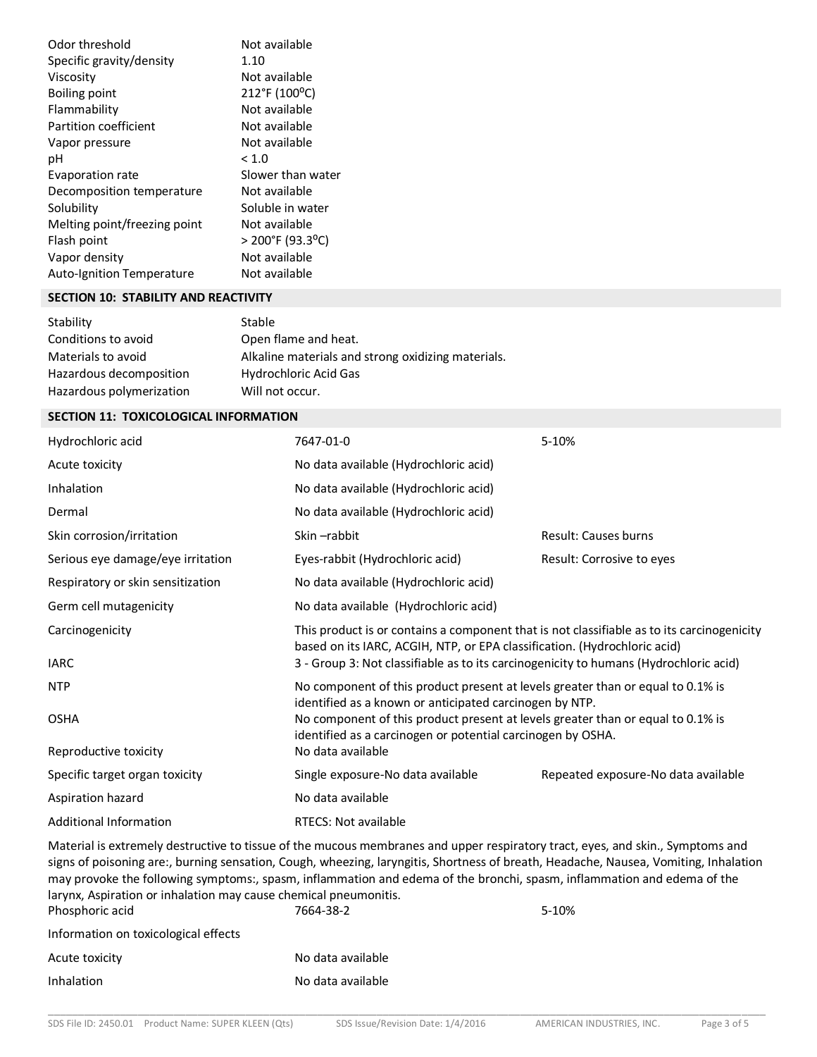| Odor threshold                   | Not available                      |
|----------------------------------|------------------------------------|
| Specific gravity/density         | 1.10                               |
| Viscosity                        | Not available                      |
| Boiling point                    | $212^{\circ}$ F (100 $^{\circ}$ C) |
| Flammability                     | Not available                      |
| Partition coefficient            | Not available                      |
| Vapor pressure                   | Not available                      |
| рH                               | < 1.0                              |
| Evaporation rate                 | Slower than water                  |
| Decomposition temperature        | Not available                      |
| Solubility                       | Soluble in water                   |
| Melting point/freezing point     | Not available                      |
| Flash point                      | $>$ 200°F (93.3°C)                 |
| Vapor density                    | Not available                      |
| <b>Auto-Ignition Temperature</b> | Not available                      |

#### **SECTION 10: STABILITY AND REACTIVITY**

| Stability                | <b>Stable</b>                                      |
|--------------------------|----------------------------------------------------|
| Conditions to avoid      | Open flame and heat.                               |
| Materials to avoid       | Alkaline materials and strong oxidizing materials. |
| Hazardous decomposition  | Hydrochloric Acid Gas                              |
| Hazardous polymerization | Will not occur.                                    |

#### **SECTION 11: TOXICOLOGICAL INFORMATION**

| 7647-01-0                                                                                                                                                                                                                                                        | 5-10%                                                   |
|------------------------------------------------------------------------------------------------------------------------------------------------------------------------------------------------------------------------------------------------------------------|---------------------------------------------------------|
| No data available (Hydrochloric acid)                                                                                                                                                                                                                            |                                                         |
| No data available (Hydrochloric acid)                                                                                                                                                                                                                            |                                                         |
| No data available (Hydrochloric acid)                                                                                                                                                                                                                            |                                                         |
| Skin-rabbit                                                                                                                                                                                                                                                      | Result: Causes burns                                    |
| Eyes-rabbit (Hydrochloric acid)                                                                                                                                                                                                                                  | Result: Corrosive to eyes                               |
| No data available (Hydrochloric acid)                                                                                                                                                                                                                            |                                                         |
| No data available (Hydrochloric acid)                                                                                                                                                                                                                            |                                                         |
| This product is or contains a component that is not classifiable as to its carcinogenicity<br>based on its IARC, ACGIH, NTP, or EPA classification. (Hydrochloric acid)<br>3 - Group 3: Not classifiable as to its carcinogenicity to humans (Hydrochloric acid) |                                                         |
| No component of this product present at levels greater than or equal to 0.1% is                                                                                                                                                                                  |                                                         |
| No component of this product present at levels greater than or equal to 0.1% is<br>identified as a carcinogen or potential carcinogen by OSHA.                                                                                                                   |                                                         |
| No data available                                                                                                                                                                                                                                                |                                                         |
| Single exposure-No data available                                                                                                                                                                                                                                | Repeated exposure-No data available                     |
| No data available                                                                                                                                                                                                                                                |                                                         |
| <b>RTECS: Not available</b>                                                                                                                                                                                                                                      |                                                         |
|                                                                                                                                                                                                                                                                  | identified as a known or anticipated carcinogen by NTP. |

Material is extremely destructive to tissue of the mucous membranes and upper respiratory tract, eyes, and skin., Symptoms and signs of poisoning are:, burning sensation, Cough, wheezing, laryngitis, Shortness of breath, Headache, Nausea, Vomiting, Inhalation may provoke the following symptoms:, spasm, inflammation and edema of the bronchi, spasm, inflammation and edema of the larynx, Aspiration or inhalation may cause chemical pneumonitis. Phosphoric acid 35-10%

| Information on toxicological effects |                   |
|--------------------------------------|-------------------|
| Acute toxicity                       | No data available |
| Inhalation                           | No data available |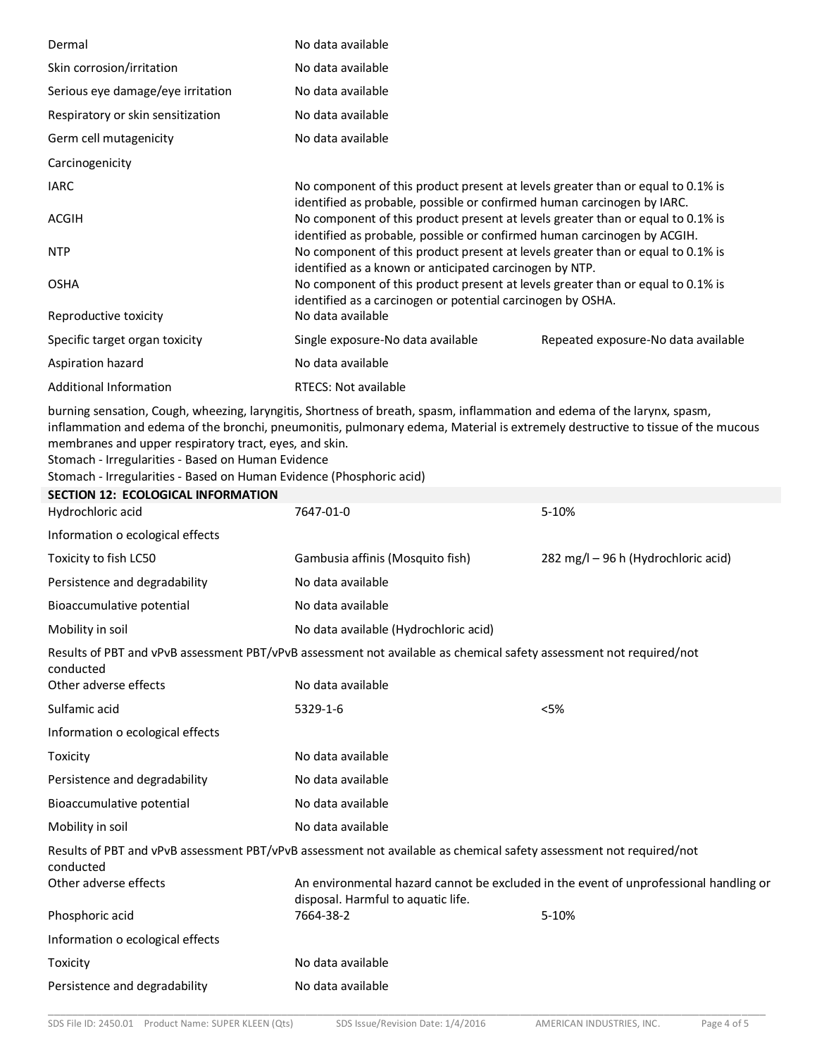| No data available                                                                                                                                                                                                                      |                                                                                                                        |  |
|----------------------------------------------------------------------------------------------------------------------------------------------------------------------------------------------------------------------------------------|------------------------------------------------------------------------------------------------------------------------|--|
| No data available                                                                                                                                                                                                                      |                                                                                                                        |  |
| No data available                                                                                                                                                                                                                      |                                                                                                                        |  |
| No data available                                                                                                                                                                                                                      |                                                                                                                        |  |
| No data available                                                                                                                                                                                                                      |                                                                                                                        |  |
|                                                                                                                                                                                                                                        |                                                                                                                        |  |
| No component of this product present at levels greater than or equal to 0.1% is                                                                                                                                                        |                                                                                                                        |  |
| identified as probable, possible or confirmed human carcinogen by IARC.<br>No component of this product present at levels greater than or equal to 0.1% is<br>identified as probable, possible or confirmed human carcinogen by ACGIH. |                                                                                                                        |  |
| No component of this product present at levels greater than or equal to 0.1% is                                                                                                                                                        |                                                                                                                        |  |
| No component of this product present at levels greater than or equal to 0.1% is                                                                                                                                                        |                                                                                                                        |  |
| No data available                                                                                                                                                                                                                      |                                                                                                                        |  |
| Single exposure-No data available                                                                                                                                                                                                      | Repeated exposure-No data available                                                                                    |  |
| No data available                                                                                                                                                                                                                      |                                                                                                                        |  |
| <b>RTECS: Not available</b>                                                                                                                                                                                                            |                                                                                                                        |  |
|                                                                                                                                                                                                                                        | identified as a known or anticipated carcinogen by NTP.<br>identified as a carcinogen or potential carcinogen by OSHA. |  |

burning sensation, Cough, wheezing, laryngitis, Shortness of breath, spasm, inflammation and edema of the larynx, spasm, inflammation and edema of the bronchi, pneumonitis, pulmonary edema, Material is extremely destructive to tissue of the mucous membranes and upper respiratory tract, eyes, and skin.

Stomach - Irregularities - Based on Human Evidence

Stomach - Irregularities - Based on Human Evidence (Phosphoric acid)

| <b>SECTION 12: ECOLOGICAL INFORMATION</b> |                                                                                                                             |                                     |
|-------------------------------------------|-----------------------------------------------------------------------------------------------------------------------------|-------------------------------------|
| Hydrochloric acid                         | 7647-01-0                                                                                                                   | 5-10%                               |
| Information o ecological effects          |                                                                                                                             |                                     |
| Toxicity to fish LC50                     | Gambusia affinis (Mosquito fish)                                                                                            | 282 mg/l - 96 h (Hydrochloric acid) |
| Persistence and degradability             | No data available                                                                                                           |                                     |
| Bioaccumulative potential                 | No data available                                                                                                           |                                     |
| Mobility in soil                          | No data available (Hydrochloric acid)                                                                                       |                                     |
| conducted                                 | Results of PBT and vPvB assessment PBT/vPvB assessment not available as chemical safety assessment not required/not         |                                     |
| Other adverse effects                     | No data available                                                                                                           |                                     |
| Sulfamic acid                             | 5329-1-6                                                                                                                    | < 5%                                |
| Information o ecological effects          |                                                                                                                             |                                     |
| Toxicity                                  | No data available                                                                                                           |                                     |
| Persistence and degradability             | No data available                                                                                                           |                                     |
| Bioaccumulative potential                 | No data available                                                                                                           |                                     |
| Mobility in soil                          | No data available                                                                                                           |                                     |
| conducted                                 | Results of PBT and vPvB assessment PBT/vPvB assessment not available as chemical safety assessment not required/not         |                                     |
| Other adverse effects                     | An environmental hazard cannot be excluded in the event of unprofessional handling or<br>disposal. Harmful to aquatic life. |                                     |
| Phosphoric acid                           | 7664-38-2                                                                                                                   | 5-10%                               |
| Information o ecological effects          |                                                                                                                             |                                     |
| Toxicity                                  | No data available                                                                                                           |                                     |
| Persistence and degradability             | No data available                                                                                                           |                                     |
|                                           |                                                                                                                             |                                     |